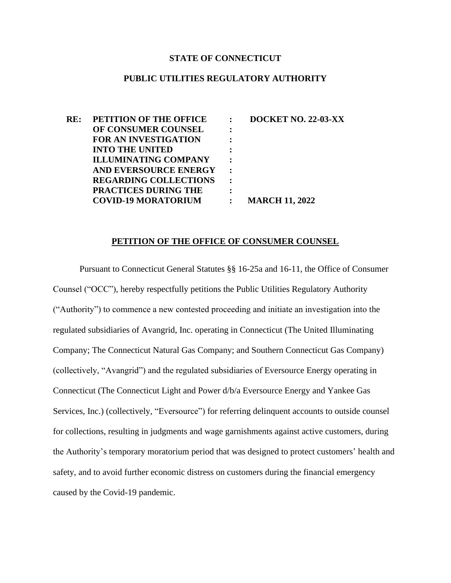#### **STATE OF CONNECTICUT**

#### **PUBLIC UTILITIES REGULATORY AUTHORITY**

**RE: PETITION OF THE OFFICE OF CONSUMER COUNSEL FOR AN INVESTIGATION INTO THE UNITED ILLUMINATING COMPANY AND EVERSOURCE ENERGY REGARDING COLLECTIONS PRACTICES DURING THE COVID-19 MORATORIUM : DOCKET NO. 22-03-XX : : : : : : : : MARCH 11, 2022**

#### **PETITION OF THE OFFICE OF CONSUMER COUNSEL**

Pursuant to Connecticut General Statutes §§ 16-25a and 16-11, the Office of Consumer Counsel ("OCC"), hereby respectfully petitions the Public Utilities Regulatory Authority ("Authority") to commence a new contested proceeding and initiate an investigation into the regulated subsidiaries of Avangrid, Inc. operating in Connecticut (The United Illuminating Company; The Connecticut Natural Gas Company; and Southern Connecticut Gas Company) (collectively, "Avangrid") and the regulated subsidiaries of Eversource Energy operating in Connecticut (The Connecticut Light and Power d/b/a Eversource Energy and Yankee Gas Services, Inc.) (collectively, "Eversource") for referring delinquent accounts to outside counsel for collections, resulting in judgments and wage garnishments against active customers, during the Authority's temporary moratorium period that was designed to protect customers' health and safety, and to avoid further economic distress on customers during the financial emergency caused by the Covid-19 pandemic.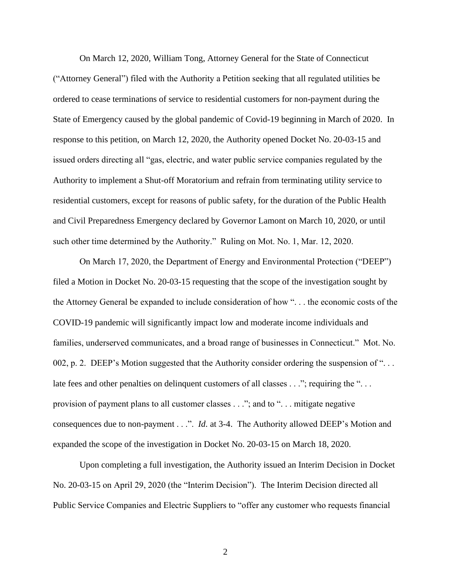On March 12, 2020, William Tong, Attorney General for the State of Connecticut ("Attorney General") filed with the Authority a Petition seeking that all regulated utilities be ordered to cease terminations of service to residential customers for non-payment during the State of Emergency caused by the global pandemic of Covid-19 beginning in March of 2020. In response to this petition, on March 12, 2020, the Authority opened Docket No. 20-03-15 and issued orders directing all "gas, electric, and water public service companies regulated by the Authority to implement a Shut-off Moratorium and refrain from terminating utility service to residential customers, except for reasons of public safety, for the duration of the Public Health and Civil Preparedness Emergency declared by Governor Lamont on March 10, 2020, or until such other time determined by the Authority." Ruling on Mot. No. 1, Mar. 12, 2020.

On March 17, 2020, the Department of Energy and Environmental Protection ("DEEP") filed a Motion in Docket No. 20-03-15 requesting that the scope of the investigation sought by the Attorney General be expanded to include consideration of how ". . . the economic costs of the COVID-19 pandemic will significantly impact low and moderate income individuals and families, underserved communicates, and a broad range of businesses in Connecticut." Mot. No. 002, p. 2. DEEP's Motion suggested that the Authority consider ordering the suspension of ". . . late fees and other penalties on delinquent customers of all classes . . ."; requiring the "... provision of payment plans to all customer classes . . ."; and to ". . . mitigate negative consequences due to non-payment . . .". *Id*. at 3-4. The Authority allowed DEEP's Motion and expanded the scope of the investigation in Docket No. 20-03-15 on March 18, 2020.

Upon completing a full investigation, the Authority issued an Interim Decision in Docket No. 20-03-15 on April 29, 2020 (the "Interim Decision"). The Interim Decision directed all Public Service Companies and Electric Suppliers to "offer any customer who requests financial

2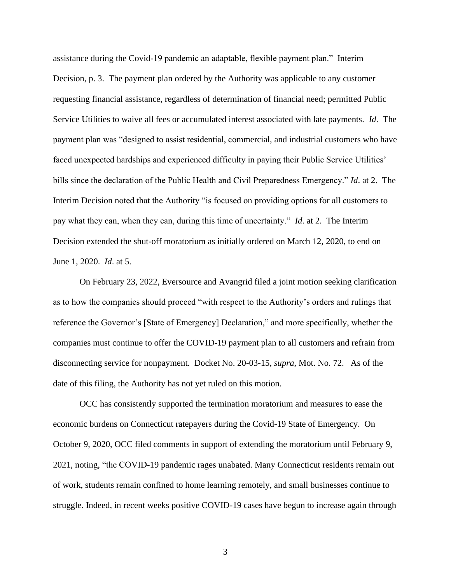assistance during the Covid-19 pandemic an adaptable, flexible payment plan." Interim Decision, p. 3. The payment plan ordered by the Authority was applicable to any customer requesting financial assistance, regardless of determination of financial need; permitted Public Service Utilities to waive all fees or accumulated interest associated with late payments. *Id*. The payment plan was "designed to assist residential, commercial, and industrial customers who have faced unexpected hardships and experienced difficulty in paying their Public Service Utilities' bills since the declaration of the Public Health and Civil Preparedness Emergency." *Id*. at 2. The Interim Decision noted that the Authority "is focused on providing options for all customers to pay what they can, when they can, during this time of uncertainty." *Id*. at 2. The Interim Decision extended the shut-off moratorium as initially ordered on March 12, 2020, to end on June 1, 2020. *Id*. at 5.

On February 23, 2022, Eversource and Avangrid filed a joint motion seeking clarification as to how the companies should proceed "with respect to the Authority's orders and rulings that reference the Governor's [State of Emergency] Declaration," and more specifically, whether the companies must continue to offer the COVID-19 payment plan to all customers and refrain from disconnecting service for nonpayment. Docket No. 20-03-15, *supra*, Mot. No. 72. As of the date of this filing, the Authority has not yet ruled on this motion.

OCC has consistently supported the termination moratorium and measures to ease the economic burdens on Connecticut ratepayers during the Covid-19 State of Emergency. On October 9, 2020, OCC filed comments in support of extending the moratorium until February 9, 2021, noting, "the COVID-19 pandemic rages unabated. Many Connecticut residents remain out of work, students remain confined to home learning remotely, and small businesses continue to struggle. Indeed, in recent weeks positive COVID-19 cases have begun to increase again through

3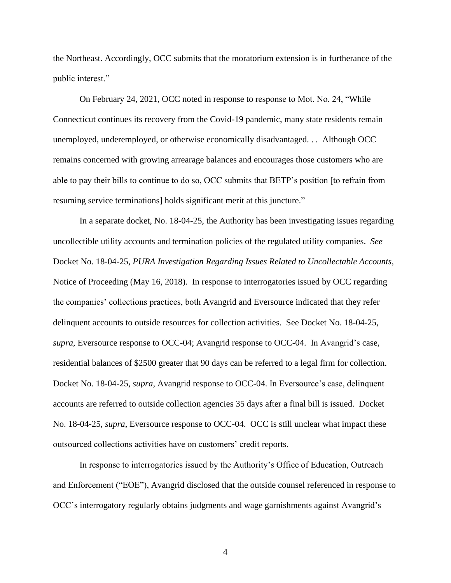the Northeast. Accordingly, OCC submits that the moratorium extension is in furtherance of the public interest."

On February 24, 2021, OCC noted in response to response to Mot. No. 24, "While Connecticut continues its recovery from the Covid-19 pandemic, many state residents remain unemployed, underemployed, or otherwise economically disadvantaged. . . Although OCC remains concerned with growing arrearage balances and encourages those customers who are able to pay their bills to continue to do so, OCC submits that BETP's position [to refrain from resuming service terminations] holds significant merit at this juncture."

In a separate docket, No. 18-04-25, the Authority has been investigating issues regarding uncollectible utility accounts and termination policies of the regulated utility companies. *See* Docket No. 18-04-25, *PURA Investigation Regarding Issues Related to Uncollectable Accounts,* Notice of Proceeding (May 16, 2018). In response to interrogatories issued by OCC regarding the companies' collections practices, both Avangrid and Eversource indicated that they refer delinquent accounts to outside resources for collection activities. See Docket No. 18-04-25, *supra*, Eversource response to OCC-04; Avangrid response to OCC-04. In Avangrid's case, residential balances of \$2500 greater that 90 days can be referred to a legal firm for collection. Docket No. 18-04-25, *supra*, Avangrid response to OCC-04. In Eversource's case, delinquent accounts are referred to outside collection agencies 35 days after a final bill is issued. Docket No. 18-04-25, *supra*, Eversource response to OCC-04. OCC is still unclear what impact these outsourced collections activities have on customers' credit reports.

In response to interrogatories issued by the Authority's Office of Education, Outreach and Enforcement ("EOE"), Avangrid disclosed that the outside counsel referenced in response to OCC's interrogatory regularly obtains judgments and wage garnishments against Avangrid's

4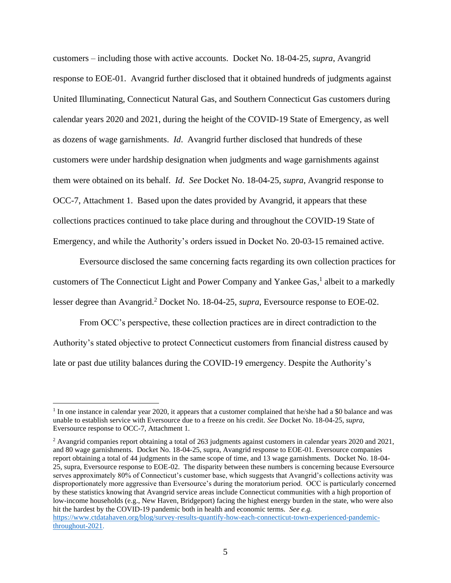customers – including those with active accounts. Docket No. 18-04-25, *supra*, Avangrid response to EOE-01. Avangrid further disclosed that it obtained hundreds of judgments against United Illuminating, Connecticut Natural Gas, and Southern Connecticut Gas customers during calendar years 2020 and 2021, during the height of the COVID-19 State of Emergency, as well as dozens of wage garnishments. *Id*. Avangrid further disclosed that hundreds of these customers were under hardship designation when judgments and wage garnishments against them were obtained on its behalf. *Id*. *See* Docket No. 18-04-25, *supra*, Avangrid response to OCC-7, Attachment 1. Based upon the dates provided by Avangrid, it appears that these collections practices continued to take place during and throughout the COVID-19 State of Emergency, and while the Authority's orders issued in Docket No. 20-03-15 remained active.

Eversource disclosed the same concerning facts regarding its own collection practices for customers of The Connecticut Light and Power Company and Yankee Gas, 1 albeit to a markedly lesser degree than Avangrid.<sup>2</sup> Docket No. 18-04-25, *supra*, Eversource response to EOE-02.

From OCC's perspective, these collection practices are in direct contradiction to the Authority's stated objective to protect Connecticut customers from financial distress caused by late or past due utility balances during the COVID-19 emergency. Despite the Authority's

<sup>&</sup>lt;sup>1</sup> In one instance in calendar year 2020, it appears that a customer complained that he/she had a \$0 balance and was unable to establish service with Eversource due to a freeze on his credit. *See* Docket No. 18-04-25, *supra*, Eversource response to OCC-7, Attachment 1.

<sup>&</sup>lt;sup>2</sup> Avangrid companies report obtaining a total of 263 judgments against customers in calendar years 2020 and 2021, and 80 wage garnishments. Docket No. 18-04-25, supra, Avangrid response to EOE-01. Eversource companies report obtaining a total of 44 judgments in the same scope of time, and 13 wage garnishments. Docket No. 18-04- 25, supra, Eversource response to EOE-02. The disparity between these numbers is concerning because Eversource serves approximately 80% of Connecticut's customer base, which suggests that Avangrid's collections activity was disproportionately more aggressive than Eversource's during the moratorium period. OCC is particularly concerned by these statistics knowing that Avangrid service areas include Connecticut communities with a high proportion of low-income households (e.g., New Haven, Bridgeport) facing the highest energy burden in the state, who were also hit the hardest by the COVID-19 pandemic both in health and economic terms. *See e.g.*  [https://www.ctdatahaven.org/blog/survey-results-quantify-how-each-connecticut-town-experienced-pandemic-](https://www.ctdatahaven.org/blog/survey-results-quantify-how-each-connecticut-town-experienced-pandemic-throughout-2021)

[throughout-2021.](https://www.ctdatahaven.org/blog/survey-results-quantify-how-each-connecticut-town-experienced-pandemic-throughout-2021)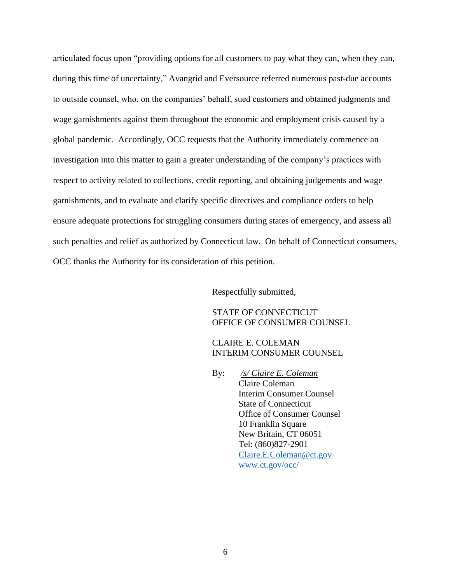articulated focus upon "providing options for all customers to pay what they can, when they can, during this time of uncertainty," Avangrid and Eversource referred numerous past-due accounts to outside counsel, who, on the companies' behalf, sued customers and obtained judgments and wage garnishments against them throughout the economic and employment crisis caused by a global pandemic. Accordingly, OCC requests that the Authority immediately commence an investigation into this matter to gain a greater understanding of the company's practices with respect to activity related to collections, credit reporting, and obtaining judgements and wage garnishments, and to evaluate and clarify specific directives and compliance orders to help ensure adequate protections for struggling consumers during states of emergency, and assess all such penalties and relief as authorized by Connecticut law. On behalf of Connecticut consumers, OCC thanks the Authority for its consideration of this petition.

Respectfully submitted,

STATE OF CONNECTICUT OFFICE OF CONSUMER COUNSEL

CLAIRE E. COLEMAN INTERIM CONSUMER COUNSEL

By: */s/ Claire E. Coleman* Claire Coleman Interim Consumer Counsel State of Connecticut Office of Consumer Counsel 10 Franklin Square New Britain, CT 06051 Tel: (860)827-2901 [Claire.E.Coleman@ct.gov](mailto:Claire.E.Coleman@ct.gov) [www.ct.gov/occ/](http://www.ct.gov/occ/)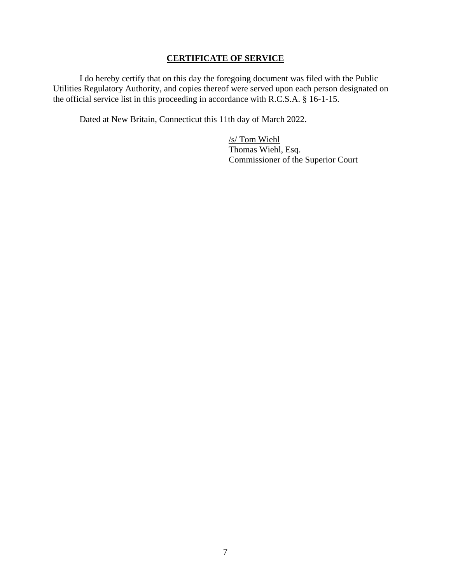## **CERTIFICATE OF SERVICE**

I do hereby certify that on this day the foregoing document was filed with the Public Utilities Regulatory Authority, and copies thereof were served upon each person designated on the official service list in this proceeding in accordance with R.C.S.A. § 16-1-15.

Dated at New Britain, Connecticut this 11th day of March 2022.

/s/ Tom Wiehl Thomas Wiehl, Esq. Commissioner of the Superior Court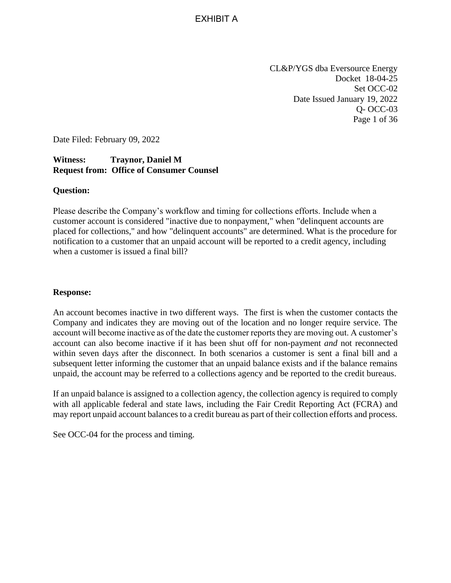EXHIBIT A

CL&P/YGS dba Eversource Energy Docket 18-04-25 Set OCC-02 Date Issued January 19, 2022 Q- OCC-03 Page 1 of 36

Date Filed: February 09, 2022

## **Witness: Traynor, Daniel M Request from: Office of Consumer Counsel**

#### **Question:**

Please describe the Company's workflow and timing for collections efforts. Include when a customer account is considered "inactive due to nonpayment," when "delinquent accounts are placed for collections," and how "delinquent accounts" are determined. What is the procedure for notification to a customer that an unpaid account will be reported to a credit agency, including when a customer is issued a final bill?

#### **Response:**

An account becomes inactive in two different ways. The first is when the customer contacts the Company and indicates they are moving out of the location and no longer require service. The account will become inactive as of the date the customer reports they are moving out. A customer's account can also become inactive if it has been shut off for non-payment *and* not reconnected within seven days after the disconnect. In both scenarios a customer is sent a final bill and a subsequent letter informing the customer that an unpaid balance exists and if the balance remains unpaid, the account may be referred to a collections agency and be reported to the credit bureaus.

If an unpaid balance is assigned to a collection agency, the collection agency is required to comply with all applicable federal and state laws, including the Fair Credit Reporting Act (FCRA) and may report unpaid account balances to a credit bureau as part of their collection efforts and process.

See OCC-04 for the process and timing.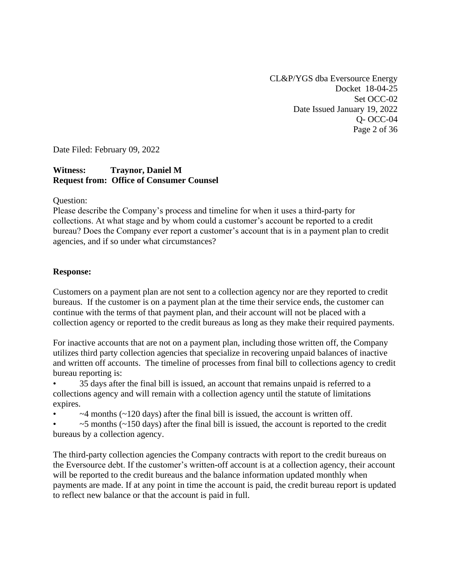CL&P/YGS dba Eversource Energy Docket 18-04-25 Set OCC-02 Date Issued January 19, 2022 Q- OCC-04 Page 2 of 36

Date Filed: February 09, 2022

## **Witness: Traynor, Daniel M Request from: Office of Consumer Counsel**

Question:

Please describe the Company's process and timeline for when it uses a third-party for collections. At what stage and by whom could a customer's account be reported to a credit bureau? Does the Company ever report a customer's account that is in a payment plan to credit agencies, and if so under what circumstances?

#### **Response:**

Customers on a payment plan are not sent to a collection agency nor are they reported to credit bureaus. If the customer is on a payment plan at the time their service ends, the customer can continue with the terms of that payment plan, and their account will not be placed with a collection agency or reported to the credit bureaus as long as they make their required payments.

For inactive accounts that are not on a payment plan, including those written off, the Company utilizes third party collection agencies that specialize in recovering unpaid balances of inactive and written off accounts. The timeline of processes from final bill to collections agency to credit bureau reporting is:

• 35 days after the final bill is issued, an account that remains unpaid is referred to a collections agency and will remain with a collection agency until the statute of limitations expires.

 $\sim$ 4 months ( $\sim$ 120 days) after the final bill is issued, the account is written off.

 $\sim$  5 months ( $\sim$ 150 days) after the final bill is issued, the account is reported to the credit bureaus by a collection agency.

The third-party collection agencies the Company contracts with report to the credit bureaus on the Eversource debt. If the customer's written-off account is at a collection agency, their account will be reported to the credit bureaus and the balance information updated monthly when payments are made. If at any point in time the account is paid, the credit bureau report is updated to reflect new balance or that the account is paid in full.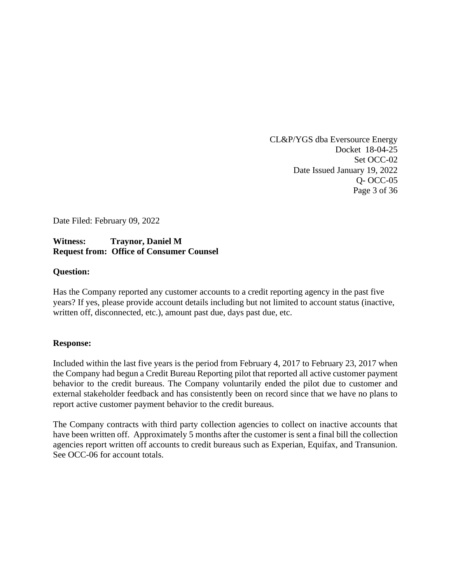CL&P/YGS dba Eversource Energy Docket 18-04-25 Set OCC-02 Date Issued January 19, 2022 Q- OCC-05 Page 3 of 36

Date Filed: February 09, 2022

# **Witness: Traynor, Daniel M Request from: Office of Consumer Counsel**

#### **Question:**

Has the Company reported any customer accounts to a credit reporting agency in the past five years? If yes, please provide account details including but not limited to account status (inactive, written off, disconnected, etc.), amount past due, days past due, etc.

#### **Response:**

Included within the last five years is the period from February 4, 2017 to February 23, 2017 when the Company had begun a Credit Bureau Reporting pilot that reported all active customer payment behavior to the credit bureaus. The Company voluntarily ended the pilot due to customer and external stakeholder feedback and has consistently been on record since that we have no plans to report active customer payment behavior to the credit bureaus.

The Company contracts with third party collection agencies to collect on inactive accounts that have been written off. Approximately 5 months after the customer is sent a final bill the collection agencies report written off accounts to credit bureaus such as Experian, Equifax, and Transunion. See OCC-06 for account totals.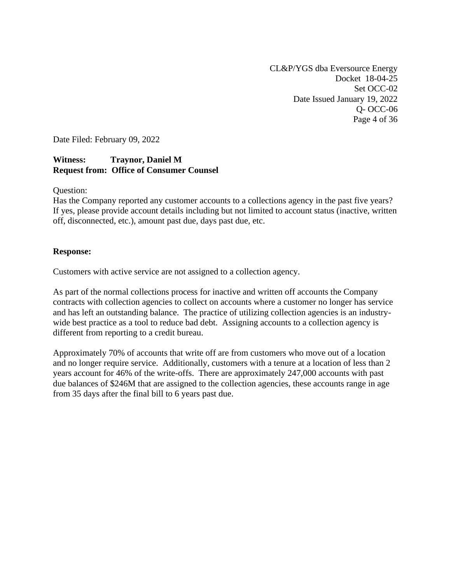CL&P/YGS dba Eversource Energy Docket 18-04-25 Set OCC-02 Date Issued January 19, 2022 Q- OCC-06 Page 4 of 36

Date Filed: February 09, 2022

## **Witness: Traynor, Daniel M Request from: Office of Consumer Counsel**

Question:

Has the Company reported any customer accounts to a collections agency in the past five years? If yes, please provide account details including but not limited to account status (inactive, written off, disconnected, etc.), amount past due, days past due, etc.

#### **Response:**

Customers with active service are not assigned to a collection agency.

As part of the normal collections process for inactive and written off accounts the Company contracts with collection agencies to collect on accounts where a customer no longer has service and has left an outstanding balance. The practice of utilizing collection agencies is an industrywide best practice as a tool to reduce bad debt. Assigning accounts to a collection agency is different from reporting to a credit bureau.

Approximately 70% of accounts that write off are from customers who move out of a location and no longer require service. Additionally, customers with a tenure at a location of less than 2 years account for 46% of the write-offs. There are approximately 247,000 accounts with past due balances of \$246M that are assigned to the collection agencies, these accounts range in age from 35 days after the final bill to 6 years past due.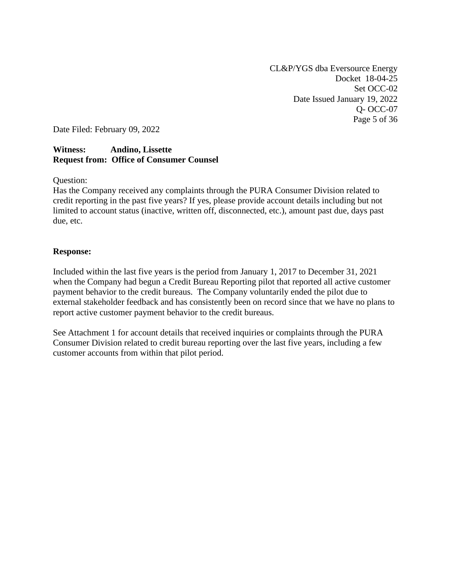CL&P/YGS dba Eversource Energy Docket 18-04-25 Set OCC-02 Date Issued January 19, 2022 Q- OCC-07 Page 5 of 36

Date Filed: February 09, 2022

#### **Witness: Andino, Lissette Request from: Office of Consumer Counsel**

Question:

Has the Company received any complaints through the PURA Consumer Division related to credit reporting in the past five years? If yes, please provide account details including but not limited to account status (inactive, written off, disconnected, etc.), amount past due, days past due, etc.

#### **Response:**

Included within the last five years is the period from January 1, 2017 to December 31, 2021 when the Company had begun a Credit Bureau Reporting pilot that reported all active customer payment behavior to the credit bureaus. The Company voluntarily ended the pilot due to external stakeholder feedback and has consistently been on record since that we have no plans to report active customer payment behavior to the credit bureaus.

See Attachment 1 for account details that received inquiries or complaints through the PURA Consumer Division related to credit bureau reporting over the last five years, including a few customer accounts from within that pilot period.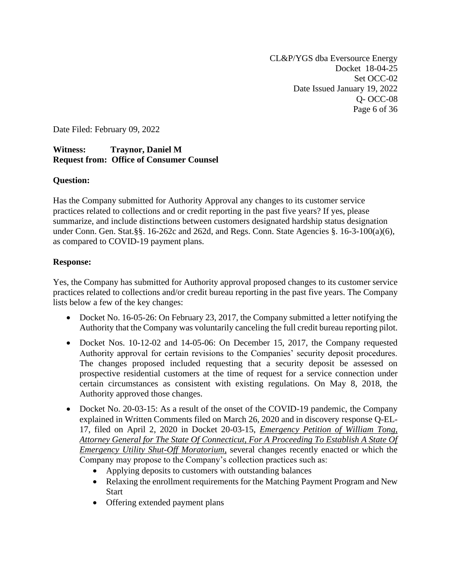CL&P/YGS dba Eversource Energy Docket 18-04-25 Set OCC-02 Date Issued January 19, 2022 Q- OCC-08 Page 6 of 36

Date Filed: February 09, 2022

## **Witness: Traynor, Daniel M Request from: Office of Consumer Counsel**

## **Question:**

Has the Company submitted for Authority Approval any changes to its customer service practices related to collections and or credit reporting in the past five years? If yes, please summarize, and include distinctions between customers designated hardship status designation under Conn. Gen. Stat.§§. 16-262c and 262d, and Regs. Conn. State Agencies §. 16-3-100(a)(6), as compared to COVID-19 payment plans.

## **Response:**

Yes, the Company has submitted for Authority approval proposed changes to its customer service practices related to collections and/or credit bureau reporting in the past five years. The Company lists below a few of the key changes:

- Docket No. 16-05-26: On February 23, 2017, the Company submitted a letter notifying the Authority that the Company was voluntarily canceling the full credit bureau reporting pilot.
- Docket Nos. 10-12-02 and 14-05-06: On December 15, 2017, the Company requested Authority approval for certain revisions to the Companies' security deposit procedures. The changes proposed included requesting that a security deposit be assessed on prospective residential customers at the time of request for a service connection under certain circumstances as consistent with existing regulations. On May 8, 2018, the Authority approved those changes.
- Docket No. 20-03-15: As a result of the onset of the COVID-19 pandemic, the Company explained in Written Comments filed on March 26, 2020 and in discovery response Q-EL-17, filed on April 2, 2020 in Docket 20-03-15, *Emergency Petition of William Tong, Attorney General for The State Of Connecticut, For A Proceeding To Establish A State Of Emergency Utility Shut-Off Moratorium,* several changes recently enacted or which the Company may propose to the Company's collection practices such as:
	- Applying deposits to customers with outstanding balances
	- Relaxing the enrollment requirements for the Matching Payment Program and New Start
	- Offering extended payment plans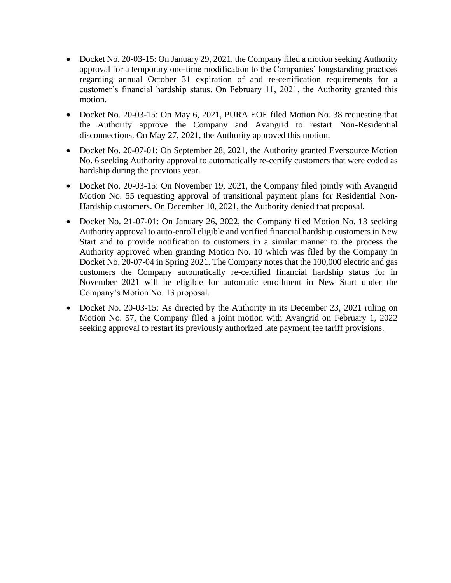- Docket No. 20-03-15: On January 29, 2021, the Company filed a motion seeking Authority approval for a temporary one-time modification to the Companies' longstanding practices regarding annual October 31 expiration of and re-certification requirements for a customer's financial hardship status. On February 11, 2021, the Authority granted this motion.
- Docket No. 20-03-15: On May 6, 2021, PURA EOE filed Motion No. 38 requesting that the Authority approve the Company and Avangrid to restart Non-Residential disconnections. On May 27, 2021, the Authority approved this motion.
- Docket No. 20-07-01: On September 28, 2021, the Authority granted Eversource Motion No. 6 seeking Authority approval to automatically re-certify customers that were coded as hardship during the previous year.
- Docket No. 20-03-15: On November 19, 2021, the Company filed jointly with Avangrid Motion No. 55 requesting approval of transitional payment plans for Residential Non-Hardship customers. On December 10, 2021, the Authority denied that proposal.
- Docket No. 21-07-01: On January 26, 2022, the Company filed Motion No. 13 seeking Authority approval to auto-enroll eligible and verified financial hardship customers in New Start and to provide notification to customers in a similar manner to the process the Authority approved when granting Motion No. 10 which was filed by the Company in Docket No. 20-07-04 in Spring 2021. The Company notes that the 100,000 electric and gas customers the Company automatically re-certified financial hardship status for in November 2021 will be eligible for automatic enrollment in New Start under the Company's Motion No. 13 proposal.
- Docket No. 20-03-15: As directed by the Authority in its December 23, 2021 ruling on Motion No. 57, the Company filed a joint motion with Avangrid on February 1, 2022 seeking approval to restart its previously authorized late payment fee tariff provisions.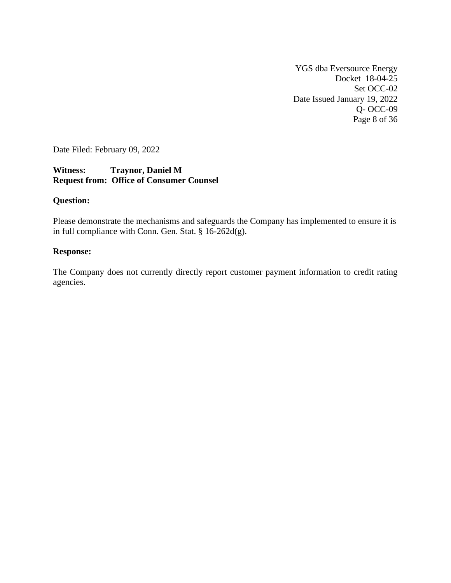YGS dba Eversource Energy Docket 18-04-25 Set OCC-02 Date Issued January 19, 2022 Q- OCC-09 Page 8 of 36

Date Filed: February 09, 2022

# **Witness: Traynor, Daniel M Request from: Office of Consumer Counsel**

## **Question:**

Please demonstrate the mechanisms and safeguards the Company has implemented to ensure it is in full compliance with Conn. Gen. Stat. § 16-262d(g).

#### **Response:**

The Company does not currently directly report customer payment information to credit rating agencies.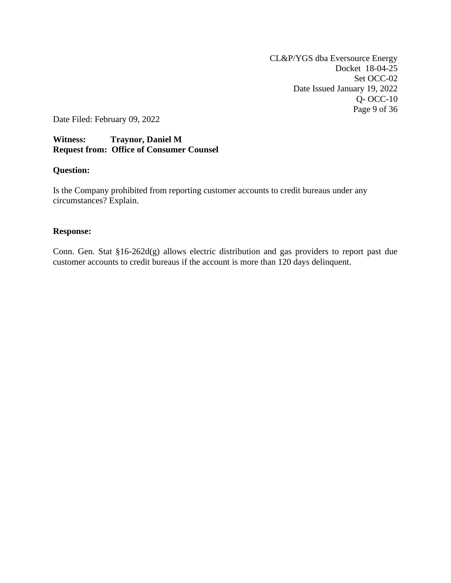CL&P/YGS dba Eversource Energy Docket 18-04-25 Set OCC-02 Date Issued January 19, 2022 Q- OCC-10 Page 9 of 36

Date Filed: February 09, 2022

## **Witness: Traynor, Daniel M Request from: Office of Consumer Counsel**

#### **Question:**

Is the Company prohibited from reporting customer accounts to credit bureaus under any circumstances? Explain.

#### **Response:**

Conn. Gen. Stat §16-262d(g) allows electric distribution and gas providers to report past due customer accounts to credit bureaus if the account is more than 120 days delinquent.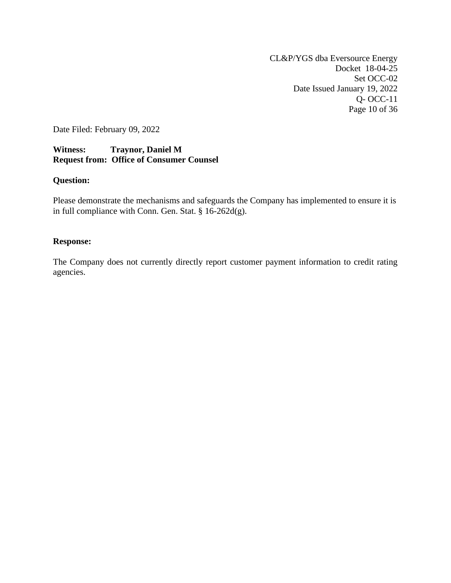CL&P/YGS dba Eversource Energy Docket 18-04-25 Set OCC-02 Date Issued January 19, 2022 Q- OCC-11 Page 10 of 36

Date Filed: February 09, 2022

## **Witness: Traynor, Daniel M Request from: Office of Consumer Counsel**

#### **Question:**

Please demonstrate the mechanisms and safeguards the Company has implemented to ensure it is in full compliance with Conn. Gen. Stat. § 16-262d(g).

#### **Response:**

The Company does not currently directly report customer payment information to credit rating agencies.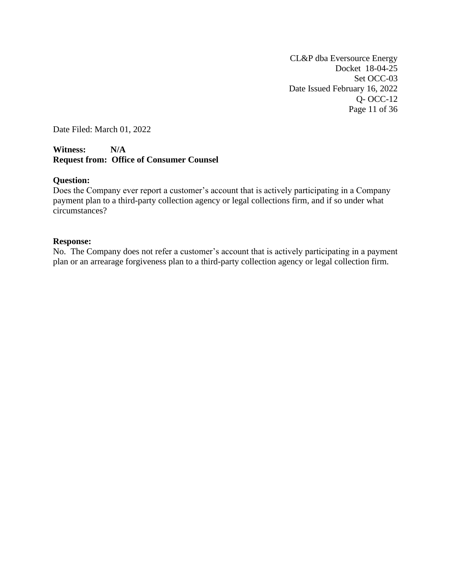CL&P dba Eversource Energy Docket 18-04-25 Set OCC-03 Date Issued February 16, 2022 Q- OCC-12 Page 11 of 36

Date Filed: March 01, 2022

#### **Witness: N/A Request from: Office of Consumer Counsel**

#### **Question:**

Does the Company ever report a customer's account that is actively participating in a Company payment plan to a third-party collection agency or legal collections firm, and if so under what circumstances?

#### **Response:**

No. The Company does not refer a customer's account that is actively participating in a payment plan or an arrearage forgiveness plan to a third-party collection agency or legal collection firm.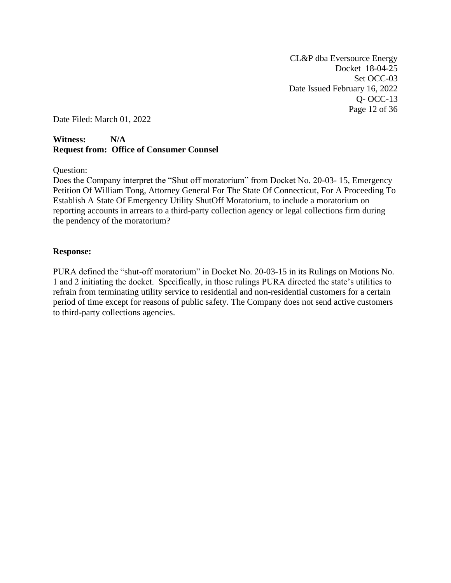CL&P dba Eversource Energy Docket 18-04-25 Set OCC-03 Date Issued February 16, 2022 Q- OCC-13 Page 12 of 36

Date Filed: March 01, 2022

## **Witness: N/A Request from: Office of Consumer Counsel**

Question:

Does the Company interpret the "Shut off moratorium" from Docket No. 20-03- 15, Emergency Petition Of William Tong, Attorney General For The State Of Connecticut, For A Proceeding To Establish A State Of Emergency Utility ShutOff Moratorium, to include a moratorium on reporting accounts in arrears to a third-party collection agency or legal collections firm during the pendency of the moratorium?

#### **Response:**

PURA defined the "shut-off moratorium" in Docket No. 20-03-15 in its Rulings on Motions No. 1 and 2 initiating the docket. Specifically, in those rulings PURA directed the state's utilities to refrain from terminating utility service to residential and non-residential customers for a certain period of time except for reasons of public safety. The Company does not send active customers to third-party collections agencies.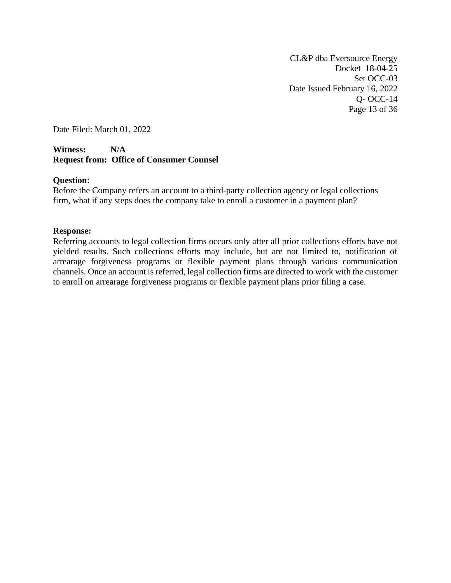CL&P dba Eversource Energy Docket 18-04-25 Set OCC-03 Date Issued February 16, 2022 Q- OCC-14 Page 13 of 36

Date Filed: March 01, 2022

## **Witness: N/A Request from: Office of Consumer Counsel**

#### **Question:**

Before the Company refers an account to a third-party collection agency or legal collections firm, what if any steps does the company take to enroll a customer in a payment plan?

#### **Response:**

Referring accounts to legal collection firms occurs only after all prior collections efforts have not yielded results. Such collections efforts may include, but are not limited to, notification of arrearage forgiveness programs or flexible payment plans through various communication channels. Once an account is referred, legal collection firms are directed to work with the customer to enroll on arrearage forgiveness programs or flexible payment plans prior filing a case.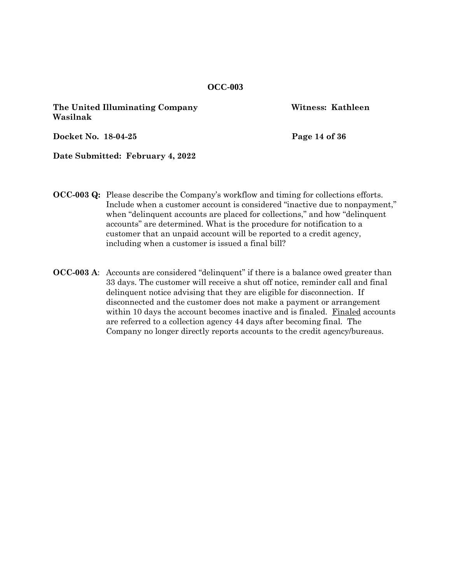**The United Illuminating Company Witness: Kathleen Wasilnak**

**Docket No. 18-04-25 Page 14 of 36**

**Date Submitted: February 4, 2022**

- **OCC-003 Q:** Please describe the Company's workflow and timing for collections efforts. Include when a customer account is considered "inactive due to nonpayment," when "delinquent accounts are placed for collections," and how "delinquent accounts" are determined. What is the procedure for notification to a customer that an unpaid account will be reported to a credit agency, including when a customer is issued a final bill?
- **OCC-003 A**: Accounts are considered "delinquent" if there is a balance owed greater than 33 days. The customer will receive a shut off notice, reminder call and final delinquent notice advising that they are eligible for disconnection. If disconnected and the customer does not make a payment or arrangement within 10 days the account becomes inactive and is finaled. Finaled accounts are referred to a collection agency 44 days after becoming final. The Company no longer directly reports accounts to the credit agency/bureaus.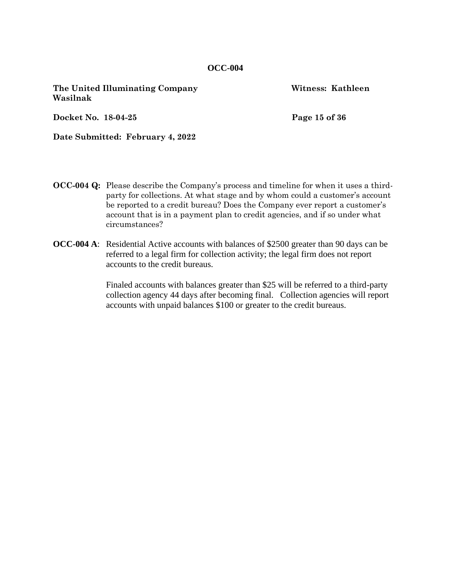**The United Illuminating Company Witness: Kathleen Wasilnak**

**Docket No. 18-04-25 Page 15 of 36**

**Date Submitted: February 4, 2022**

- **OCC-004 Q:** Please describe the Company's process and timeline for when it uses a thirdparty for collections. At what stage and by whom could a customer's account be reported to a credit bureau? Does the Company ever report a customer's account that is in a payment plan to credit agencies, and if so under what circumstances?
- **OCC-004 A**: Residential Active accounts with balances of \$2500 greater than 90 days can be referred to a legal firm for collection activity; the legal firm does not report accounts to the credit bureaus.

Finaled accounts with balances greater than \$25 will be referred to a third-party collection agency 44 days after becoming final. Collection agencies will report accounts with unpaid balances \$100 or greater to the credit bureaus.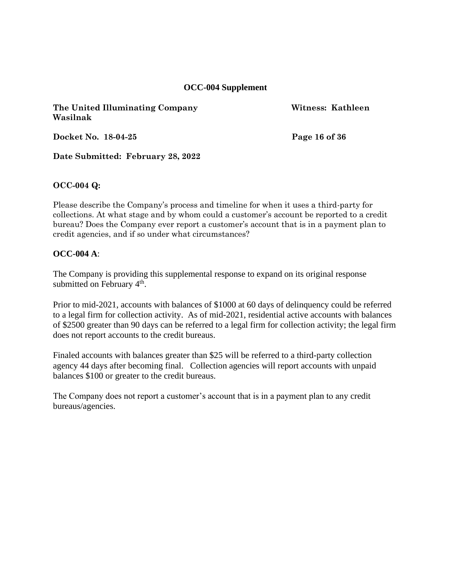## **OCC-004 Supplement**

**The United Illuminating Company Witness: Kathleen Wasilnak**

**Docket No. 18-04-25 Page 16 of 36**

**Date Submitted: February 28, 2022**

#### **OCC-004 Q:**

Please describe the Company's process and timeline for when it uses a third-party for collections. At what stage and by whom could a customer's account be reported to a credit bureau? Does the Company ever report a customer's account that is in a payment plan to credit agencies, and if so under what circumstances?

#### **OCC-004 A**:

The Company is providing this supplemental response to expand on its original response submitted on February  $4<sup>th</sup>$ .

Prior to mid-2021, accounts with balances of \$1000 at 60 days of delinquency could be referred to a legal firm for collection activity. As of mid-2021, residential active accounts with balances of \$2500 greater than 90 days can be referred to a legal firm for collection activity; the legal firm does not report accounts to the credit bureaus.

Finaled accounts with balances greater than \$25 will be referred to a third-party collection agency 44 days after becoming final. Collection agencies will report accounts with unpaid balances \$100 or greater to the credit bureaus.

The Company does not report a customer's account that is in a payment plan to any credit bureaus/agencies.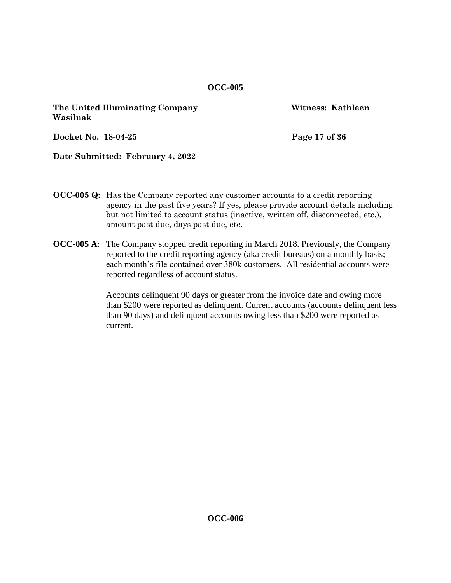**The United Illuminating Company Witness: Kathleen Wasilnak**

**Docket No. 18-04-25 Page 17 of 36**

**Date Submitted: February 4, 2022**

- **OCC-005 Q:** Has the Company reported any customer accounts to a credit reporting agency in the past five years? If yes, please provide account details including but not limited to account status (inactive, written off, disconnected, etc.), amount past due, days past due, etc.
- **OCC-005 A**: The Company stopped credit reporting in March 2018. Previously, the Company reported to the credit reporting agency (aka credit bureaus) on a monthly basis; each month's file contained over 380k customers. All residential accounts were reported regardless of account status.

Accounts delinquent 90 days or greater from the invoice date and owing more than \$200 were reported as delinquent. Current accounts (accounts delinquent less than 90 days) and delinquent accounts owing less than \$200 were reported as current.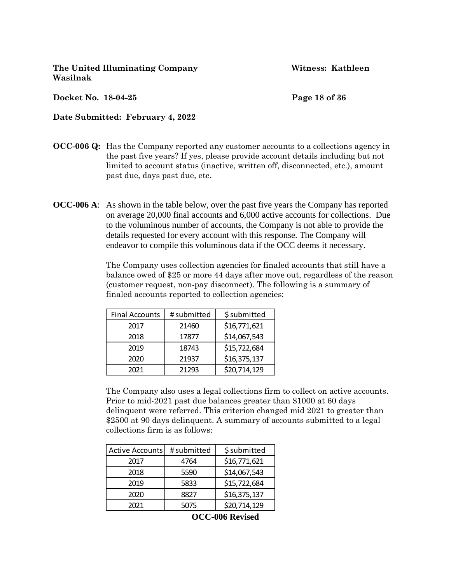**The United Illuminating Company Witness: Kathleen Wasilnak**

**Docket No. 18-04-25 Page 18 of 36**

**Date Submitted: February 4, 2022**

- **OCC-006 Q:** Has the Company reported any customer accounts to a collections agency in the past five years? If yes, please provide account details including but not limited to account status (inactive, written off, disconnected, etc.), amount past due, days past due, etc.
- **OCC-006 A**: As shown in the table below, over the past five years the Company has reported on average 20,000 final accounts and 6,000 active accounts for collections. Due to the voluminous number of accounts, the Company is not able to provide the details requested for every account with this response. The Company will endeavor to compile this voluminous data if the OCC deems it necessary.

The Company uses collection agencies for finaled accounts that still have a balance owed of \$25 or more 44 days after move out, regardless of the reason (customer request, non-pay disconnect). The following is a summary of finaled accounts reported to collection agencies:

| <b>Final Accounts</b> | # submitted | \$submitted  |
|-----------------------|-------------|--------------|
| 2017                  | 21460       | \$16,771,621 |
| 2018                  | 17877       | \$14,067,543 |
| 2019                  | 18743       | \$15,722,684 |
| 2020                  | 21937       | \$16,375,137 |
| 2021                  | 21293       | \$20,714,129 |

The Company also uses a legal collections firm to collect on active accounts. Prior to mid-2021 past due balances greater than \$1000 at 60 days delinquent were referred. This criterion changed mid 2021 to greater than \$2500 at 90 days delinquent. A summary of accounts submitted to a legal collections firm is as follows:

| <b>Active Accounts</b> | # submitted | \$submitted  |
|------------------------|-------------|--------------|
| 2017                   | 4764        | \$16,771,621 |
| 2018                   | 5590        | \$14,067,543 |
| 2019                   | 5833        | \$15,722,684 |
| 2020                   | 8827        | \$16,375,137 |
| 2021                   | 5075        | \$20,714,129 |

**OCC-006 Revised**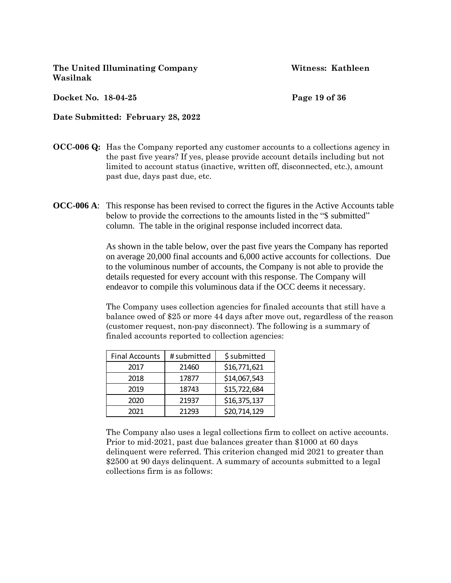**The United Illuminating Company Witness: Kathleen Wasilnak**

**Docket No. 18-04-25 Page 19 of 36**

**Date Submitted: February 28, 2022**

- **OCC-006 Q:** Has the Company reported any customer accounts to a collections agency in the past five years? If yes, please provide account details including but not limited to account status (inactive, written off, disconnected, etc.), amount past due, days past due, etc.
- **OCC-006 A**: This response has been revised to correct the figures in the Active Accounts table below to provide the corrections to the amounts listed in the "\$ submitted" column. The table in the original response included incorrect data.

As shown in the table below, over the past five years the Company has reported on average 20,000 final accounts and 6,000 active accounts for collections. Due to the voluminous number of accounts, the Company is not able to provide the details requested for every account with this response. The Company will endeavor to compile this voluminous data if the OCC deems it necessary.

The Company uses collection agencies for finaled accounts that still have a balance owed of \$25 or more 44 days after move out, regardless of the reason (customer request, non-pay disconnect). The following is a summary of finaled accounts reported to collection agencies:

| <b>Final Accounts</b> | # submitted | \$submitted  |
|-----------------------|-------------|--------------|
| 2017                  | 21460       | \$16,771,621 |
| 2018                  | 17877       | \$14,067,543 |
| 2019                  | 18743       | \$15,722,684 |
| 2020                  | 21937       | \$16,375,137 |
| 2021                  | 21293       | \$20,714,129 |

The Company also uses a legal collections firm to collect on active accounts. Prior to mid-2021, past due balances greater than \$1000 at 60 days delinquent were referred. This criterion changed mid 2021 to greater than \$2500 at 90 days delinquent. A summary of accounts submitted to a legal collections firm is as follows: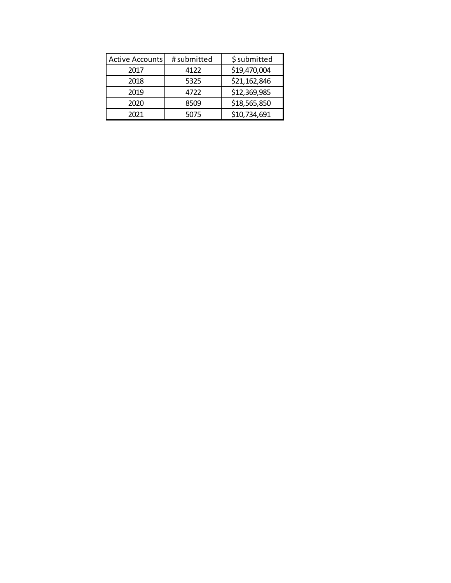| <b>Active Accounts</b> | # submitted | \$submitted  |
|------------------------|-------------|--------------|
| 2017                   | 4122        | \$19,470,004 |
| 2018                   | 5325        | \$21,162,846 |
| 2019                   | 4722        | \$12,369,985 |
| 2020                   | 8509        | \$18,565,850 |
| 2021                   | 5075        | \$10,734,691 |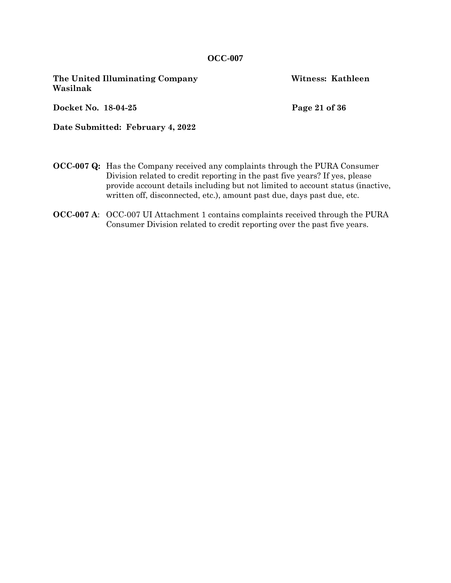**The United Illuminating Company Witness: Kathleen Wasilnak**

**Docket No. 18-04-25 Page 21 of 36**

**Date Submitted: February 4, 2022**

- **OCC-007 Q:** Has the Company received any complaints through the PURA Consumer Division related to credit reporting in the past five years? If yes, please provide account details including but not limited to account status (inactive, written off, disconnected, etc.), amount past due, days past due, etc.
- **OCC-007 A**: OCC-007 UI Attachment 1 contains complaints received through the PURA Consumer Division related to credit reporting over the past five years.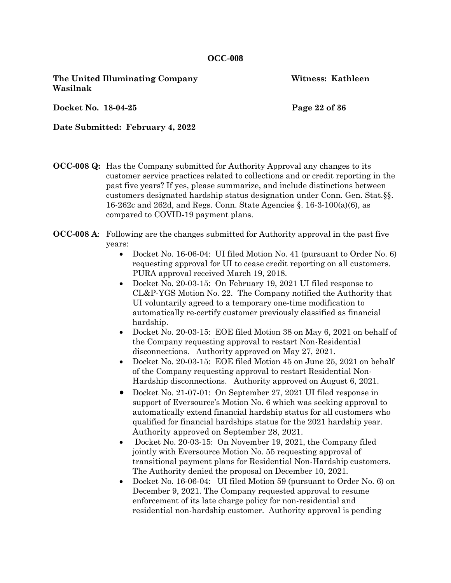**The United Illuminating Company 6 1996 1997 1998 Witness: Kathleen Wasilnak**

**Docket No. 18-04-25 Page 22 of 36**

**Date Submitted: February 4, 2022**

- **OCC-008 Q:** Has the Company submitted for Authority Approval any changes to its customer service practices related to collections and or credit reporting in the past five years? If yes, please summarize, and include distinctions between customers designated hardship status designation under Conn. Gen. Stat.§§. 16-262c and 262d, and Regs. Conn. State Agencies §. 16-3-100(a)(6), as compared to COVID-19 payment plans.
- **OCC-008 A**: Following are the changes submitted for Authority approval in the past five years:
	- Docket No. 16-06-04: UI filed Motion No. 41 (pursuant to Order No. 6) requesting approval for UI to cease credit reporting on all customers. PURA approval received March 19, 2018.
	- Docket No. 20-03-15: On February 19, 2021 UI filed response to CL&P-YGS Motion No. 22. The Company notified the Authority that UI voluntarily agreed to a temporary one-time modification to automatically re-certify customer previously classified as financial hardship.
	- Docket No. 20-03-15: EOE filed Motion 38 on May 6, 2021 on behalf of the Company requesting approval to restart Non-Residential disconnections. Authority approved on May 27, 2021.
	- Docket No. 20-03-15: EOE filed Motion 45 on June 25, 2021 on behalf of the Company requesting approval to restart Residential Non-Hardship disconnections. Authority approved on August 6, 2021.
	- Docket No. 21-07-01: On September 27, 2021 UI filed response in support of Eversource's Motion No. 6 which was seeking approval to automatically extend financial hardship status for all customers who qualified for financial hardships status for the 2021 hardship year. Authority approved on September 28, 2021.
	- Docket No. 20-03-15: On November 19, 2021, the Company filed jointly with Eversource Motion No. 55 requesting approval of transitional payment plans for Residential Non-Hardship customers. The Authority denied the proposal on December 10, 2021.
	- Docket No. 16-06-04: UI filed Motion 59 (pursuant to Order No. 6) on December 9, 2021. The Company requested approval to resume enforcement of its late charge policy for non-residential and residential non-hardship customer. Authority approval is pending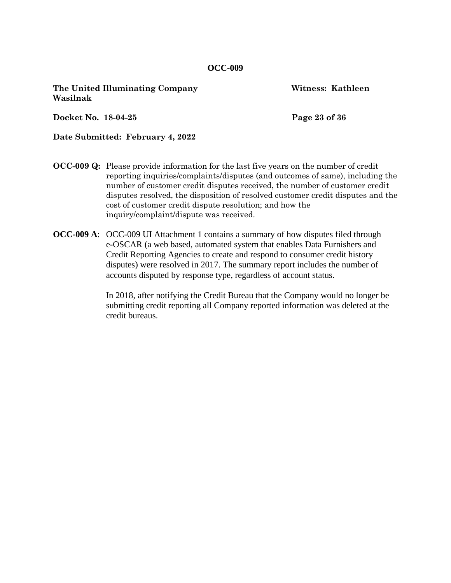**The United Illuminating Company Witness: Kathleen Wasilnak**

**Docket No. 18-04-25 Page 23 of 36**

**Date Submitted: February 4, 2022**

- **OCC-009 Q:** Please provide information for the last five years on the number of credit reporting inquiries/complaints/disputes (and outcomes of same), including the number of customer credit disputes received, the number of customer credit disputes resolved, the disposition of resolved customer credit disputes and the cost of customer credit dispute resolution; and how the inquiry/complaint/dispute was received.
- **OCC-009 A**: OCC-009 UI Attachment 1 contains a summary of how disputes filed through e-OSCAR (a web based, automated system that enables Data Furnishers and Credit Reporting Agencies to create and respond to consumer credit history disputes) were resolved in 2017. The summary report includes the number of accounts disputed by response type, regardless of account status.

In 2018, after notifying the Credit Bureau that the Company would no longer be submitting credit reporting all Company reported information was deleted at the credit bureaus.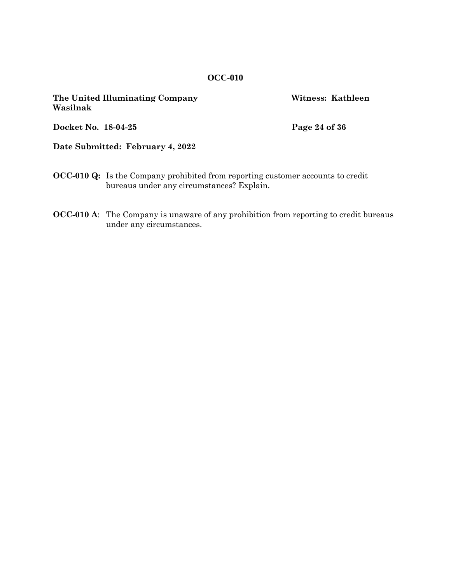| Wasilnak            | The United Illuminating Company                                                                                                     | Witness: Kathleen |
|---------------------|-------------------------------------------------------------------------------------------------------------------------------------|-------------------|
| Docket No. 18-04-25 |                                                                                                                                     | Page 24 of 36     |
|                     | Date Submitted: February 4, 2022                                                                                                    |                   |
|                     | <b>OCC-010 Q:</b> Is the Company prohibited from reporting customer accounts to credit<br>bureaus under any circumstances? Explain. |                   |

**OCC-010 A**: The Company is unaware of any prohibition from reporting to credit bureaus under any circumstances.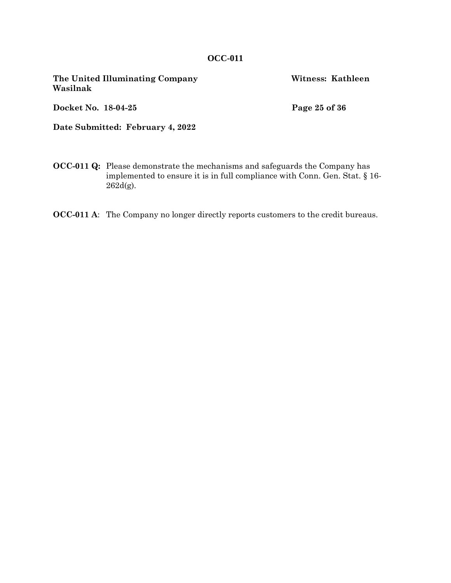**The United Illuminating Company Witness: Kathleen Wasilnak**

**Docket No. 18-04-25 Page 25 of 36**

**Date Submitted: February 4, 2022**

- **OCC-011 Q:** Please demonstrate the mechanisms and safeguards the Company has implemented to ensure it is in full compliance with Conn. Gen. Stat. § 16- 262d(g).
- **OCC-011 A**: The Company no longer directly reports customers to the credit bureaus.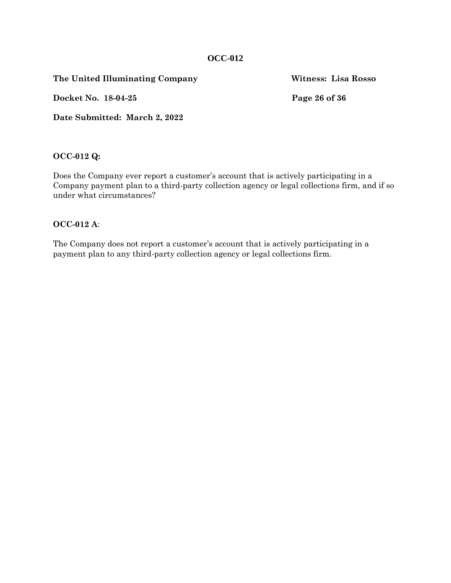**The United Illuminating Company Witness: Lisa Rosso**

**Docket No. 18-04-25 Page 26 of 36**

**Date Submitted: March 2, 2022**

**OCC-012 Q:**

Does the Company ever report a customer's account that is actively participating in a Company payment plan to a third-party collection agency or legal collections firm, and if so under what circumstances?

#### **OCC-012 A**:

The Company does not report a customer's account that is actively participating in a payment plan to any third-party collection agency or legal collections firm.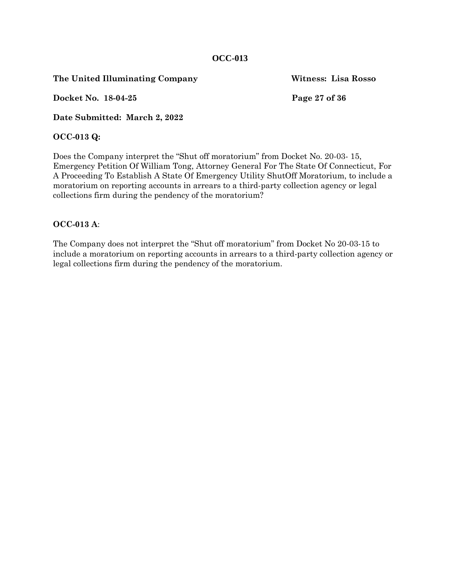**The United Illuminating Company Witness: Lisa Rosso**

**Docket No. 18-04-25 Page 27 of 36**

**Date Submitted: March 2, 2022**

## **OCC-013 Q:**

Does the Company interpret the "Shut off moratorium" from Docket No. 20-03- 15, Emergency Petition Of William Tong, Attorney General For The State Of Connecticut, For A Proceeding To Establish A State Of Emergency Utility ShutOff Moratorium, to include a moratorium on reporting accounts in arrears to a third-party collection agency or legal collections firm during the pendency of the moratorium?

## **OCC-013 A**:

The Company does not interpret the "Shut off moratorium" from Docket No 20-03-15 to include a moratorium on reporting accounts in arrears to a third-party collection agency or legal collections firm during the pendency of the moratorium.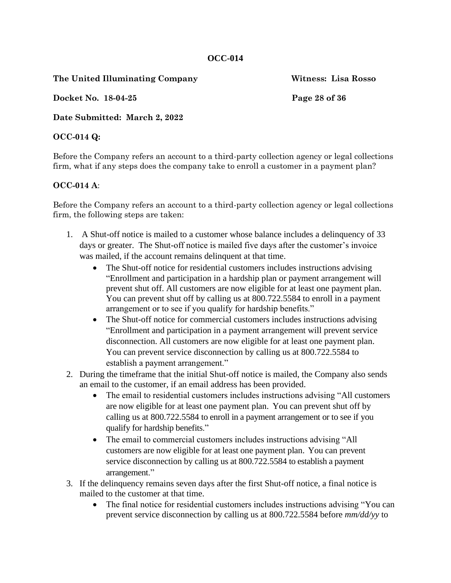**The United Illuminating Company Witness: Lisa Rosso**

**Docket No. 18-04-25 Page 28 of 36**

**Date Submitted: March 2, 2022**

# **OCC-014 Q:**

Before the Company refers an account to a third-party collection agency or legal collections firm, what if any steps does the company take to enroll a customer in a payment plan?

# **OCC-014 A**:

Before the Company refers an account to a third-party collection agency or legal collections firm, the following steps are taken:

- 1. A Shut-off notice is mailed to a customer whose balance includes a delinquency of 33 days or greater. The Shut-off notice is mailed five days after the customer's invoice was mailed, if the account remains delinquent at that time.
	- The Shut-off notice for residential customers includes instructions advising "Enrollment and participation in a hardship plan or payment arrangement will prevent shut off. All customers are now eligible for at least one payment plan. You can prevent shut off by calling us at 800.722.5584 to enroll in a payment arrangement or to see if you qualify for hardship benefits."
	- The Shut-off notice for commercial customers includes instructions advising "Enrollment and participation in a payment arrangement will prevent service disconnection. All customers are now eligible for at least one payment plan. You can prevent service disconnection by calling us at 800.722.5584 to establish a payment arrangement."
- 2. During the timeframe that the initial Shut-off notice is mailed, the Company also sends an email to the customer, if an email address has been provided.
	- The email to residential customers includes instructions advising "All customers" are now eligible for at least one payment plan. You can prevent shut off by calling us at 800.722.5584 to enroll in a payment arrangement or to see if you qualify for hardship benefits."
	- The email to commercial customers includes instructions advising "All customers are now eligible for at least one payment plan. You can prevent service disconnection by calling us at 800.722.5584 to establish a payment arrangement."
- 3. If the delinquency remains seven days after the first Shut-off notice, a final notice is mailed to the customer at that time.
	- The final notice for residential customers includes instructions advising "You can prevent service disconnection by calling us at 800.722.5584 before *mm/dd/yy* to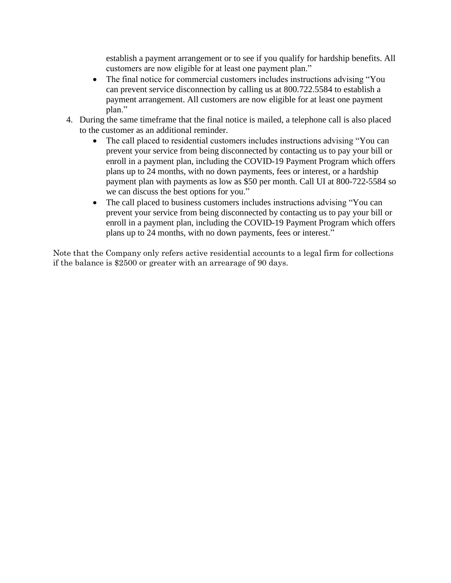establish a payment arrangement or to see if you qualify for hardship benefits. All customers are now eligible for at least one payment plan."

- The final notice for commercial customers includes instructions advising "You" can prevent service disconnection by calling us at 800.722.5584 to establish a payment arrangement. All customers are now eligible for at least one payment plan."
- 4. During the same timeframe that the final notice is mailed, a telephone call is also placed to the customer as an additional reminder.
	- The call placed to residential customers includes instructions advising "You can prevent your service from being disconnected by contacting us to pay your bill or enroll in a payment plan, including the COVID-19 Payment Program which offers plans up to 24 months, with no down payments, fees or interest, or a hardship payment plan with payments as low as \$50 per month. Call UI at 800-722-5584 so we can discuss the best options for you."
	- The call placed to business customers includes instructions advising "You can prevent your service from being disconnected by contacting us to pay your bill or enroll in a payment plan, including the COVID-19 Payment Program which offers plans up to 24 months, with no down payments, fees or interest."

Note that the Company only refers active residential accounts to a legal firm for collections if the balance is \$2500 or greater with an arrearage of 90 days.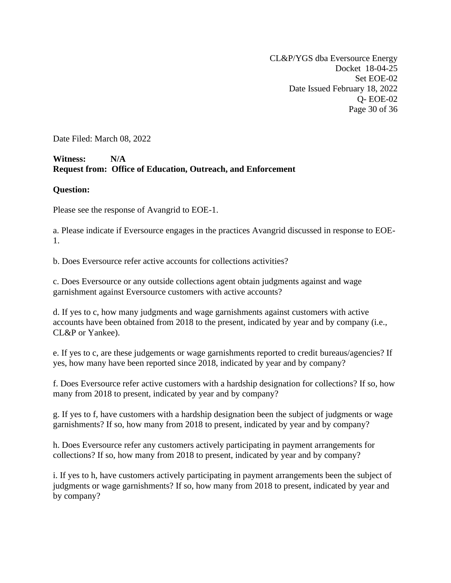CL&P/YGS dba Eversource Energy Docket 18-04-25 Set EOE-02 Date Issued February 18, 2022 Q- EOE-02 Page 30 of 36

Date Filed: March 08, 2022

# **Witness: N/A Request from: Office of Education, Outreach, and Enforcement**

#### **Question:**

Please see the response of Avangrid to EOE-1.

a. Please indicate if Eversource engages in the practices Avangrid discussed in response to EOE-1.

b. Does Eversource refer active accounts for collections activities?

c. Does Eversource or any outside collections agent obtain judgments against and wage garnishment against Eversource customers with active accounts?

d. If yes to c, how many judgments and wage garnishments against customers with active accounts have been obtained from 2018 to the present, indicated by year and by company (i.e., CL&P or Yankee).

e. If yes to c, are these judgements or wage garnishments reported to credit bureaus/agencies? If yes, how many have been reported since 2018, indicated by year and by company?

f. Does Eversource refer active customers with a hardship designation for collections? If so, how many from 2018 to present, indicated by year and by company?

g. If yes to f, have customers with a hardship designation been the subject of judgments or wage garnishments? If so, how many from 2018 to present, indicated by year and by company?

h. Does Eversource refer any customers actively participating in payment arrangements for collections? If so, how many from 2018 to present, indicated by year and by company?

i. If yes to h, have customers actively participating in payment arrangements been the subject of judgments or wage garnishments? If so, how many from 2018 to present, indicated by year and by company?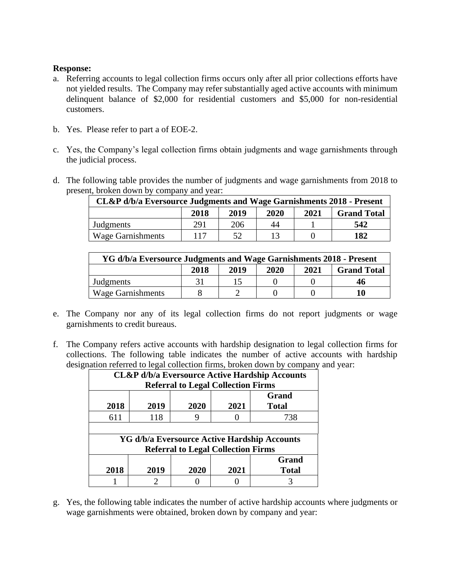## **Response:**

- a. Referring accounts to legal collection firms occurs only after all prior collections efforts have not yielded results. The Company may refer substantially aged active accounts with minimum delinquent balance of \$2,000 for residential customers and \$5,000 for non-residential customers.
- b. Yes. Please refer to part a of EOE-2.
- c. Yes, the Company's legal collection firms obtain judgments and wage garnishments through the judicial process.
- d. The following table provides the number of judgments and wage garnishments from 2018 to present, broken down by company and year:

| CL&P d/b/a Eversource Judgments and Wage Garnishments 2018 - Present |     |     |    |  |     |  |  |
|----------------------------------------------------------------------|-----|-----|----|--|-----|--|--|
| 2020<br>2019<br>2021<br>2018<br><b>Grand Total</b>                   |     |     |    |  |     |  |  |
| Judgments                                                            | 291 | 206 | 44 |  | 542 |  |  |
| <b>Wage Garnishments</b>                                             | 117 | 52  |    |  | 182 |  |  |

| YG d/b/a Eversource Judgments and Wage Garnishments 2018 - Present |  |  |  |  |    |  |  |
|--------------------------------------------------------------------|--|--|--|--|----|--|--|
| 2019<br>2020<br>2021<br>2018<br><b>Grand Total</b>                 |  |  |  |  |    |  |  |
| Judgments                                                          |  |  |  |  | 46 |  |  |
| <b>Wage Garnishments</b>                                           |  |  |  |  |    |  |  |

- e. The Company nor any of its legal collection firms do not report judgments or wage garnishments to credit bureaus.
- f. The Company refers active accounts with hardship designation to legal collection firms for collections. The following table indicates the number of active accounts with hardship designation referred to legal collection firms, broken down by company and year:

| <b>CL&amp;P</b> d/b/a Eversource Active Hardship Accounts<br><b>Referral to Legal Collection Firms</b> |                                                      |                                           |  |                                              |  |  |  |  |
|--------------------------------------------------------------------------------------------------------|------------------------------------------------------|-------------------------------------------|--|----------------------------------------------|--|--|--|--|
| 2018                                                                                                   | <b>Grand</b><br>2019<br>2020<br>2021<br><b>Total</b> |                                           |  |                                              |  |  |  |  |
| 611                                                                                                    | 118                                                  |                                           |  | 738                                          |  |  |  |  |
|                                                                                                        |                                                      |                                           |  |                                              |  |  |  |  |
|                                                                                                        |                                                      |                                           |  | YG d/b/a Eversource Active Hardship Accounts |  |  |  |  |
|                                                                                                        |                                                      | <b>Referral to Legal Collection Firms</b> |  |                                              |  |  |  |  |
|                                                                                                        | <b>Grand</b>                                         |                                           |  |                                              |  |  |  |  |
| 2018                                                                                                   | 2019<br>2020<br>2021<br><b>Total</b>                 |                                           |  |                                              |  |  |  |  |
|                                                                                                        |                                                      |                                           |  |                                              |  |  |  |  |

g. Yes, the following table indicates the number of active hardship accounts where judgments or wage garnishments were obtained, broken down by company and year: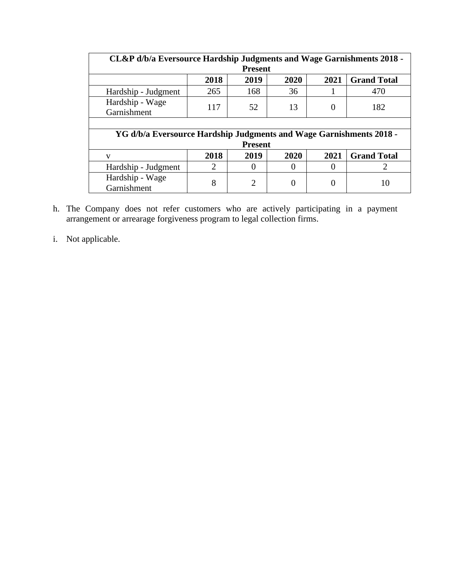| CL&P d/b/a Eversource Hardship Judgments and Wage Garnishments 2018 - |      |                |                |                  |                    |  |  |  |
|-----------------------------------------------------------------------|------|----------------|----------------|------------------|--------------------|--|--|--|
| <b>Present</b>                                                        |      |                |                |                  |                    |  |  |  |
| 2018<br>2020<br>2021<br>2019<br><b>Grand Total</b>                    |      |                |                |                  |                    |  |  |  |
| Hardship - Judgment                                                   | 265  | 168            | 36             |                  | 470                |  |  |  |
| Hardship - Wage<br>Garnishment                                        | 117  | 52             | 13             | $\theta$         | 182                |  |  |  |
|                                                                       |      |                |                |                  |                    |  |  |  |
| YG d/b/a Eversource Hardship Judgments and Wage Garnishments 2018 -   |      |                |                |                  |                    |  |  |  |
|                                                                       |      | <b>Present</b> |                |                  |                    |  |  |  |
| $\mathbf{V}$                                                          | 2018 | 2019           | 2020           | 2021             | <b>Grand Total</b> |  |  |  |
| Hardship - Judgment                                                   | 2    | $\theta$       | $\theta$       | $\left( \right)$ | 2                  |  |  |  |
| Hardship - Wage<br>Garnishment                                        | 8    | $\overline{2}$ | $\overline{0}$ | 0                | 10                 |  |  |  |

- h. The Company does not refer customers who are actively participating in a payment arrangement or arrearage forgiveness program to legal collection firms.
- i. Not applicable.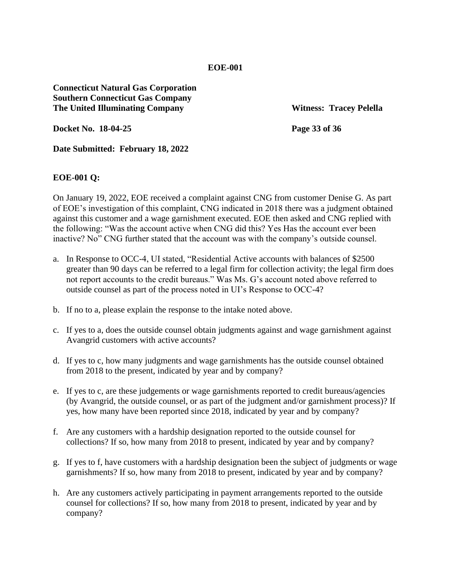**EOE-001**

**Connecticut Natural Gas Corporation Southern Connecticut Gas Company The United Illuminating Company Witness: Tracey Pelella**

**Docket No. 18-04-25 Page 33 of 36**

**Date Submitted: February 18, 2022**

#### **EOE-001 Q:**

On January 19, 2022, EOE received a complaint against CNG from customer Denise G. As part of EOE's investigation of this complaint, CNG indicated in 2018 there was a judgment obtained against this customer and a wage garnishment executed. EOE then asked and CNG replied with the following: "Was the account active when CNG did this? Yes Has the account ever been inactive? No" CNG further stated that the account was with the company's outside counsel.

- a. In Response to OCC-4, UI stated, "Residential Active accounts with balances of \$2500 greater than 90 days can be referred to a legal firm for collection activity; the legal firm does not report accounts to the credit bureaus." Was Ms. G's account noted above referred to outside counsel as part of the process noted in UI's Response to OCC-4?
- b. If no to a, please explain the response to the intake noted above.
- c. If yes to a, does the outside counsel obtain judgments against and wage garnishment against Avangrid customers with active accounts?
- d. If yes to c, how many judgments and wage garnishments has the outside counsel obtained from 2018 to the present, indicated by year and by company?
- e. If yes to c, are these judgements or wage garnishments reported to credit bureaus/agencies (by Avangrid, the outside counsel, or as part of the judgment and/or garnishment process)? If yes, how many have been reported since 2018, indicated by year and by company?
- f. Are any customers with a hardship designation reported to the outside counsel for collections? If so, how many from 2018 to present, indicated by year and by company?
- g. If yes to f, have customers with a hardship designation been the subject of judgments or wage garnishments? If so, how many from 2018 to present, indicated by year and by company?
- h. Are any customers actively participating in payment arrangements reported to the outside counsel for collections? If so, how many from 2018 to present, indicated by year and by company?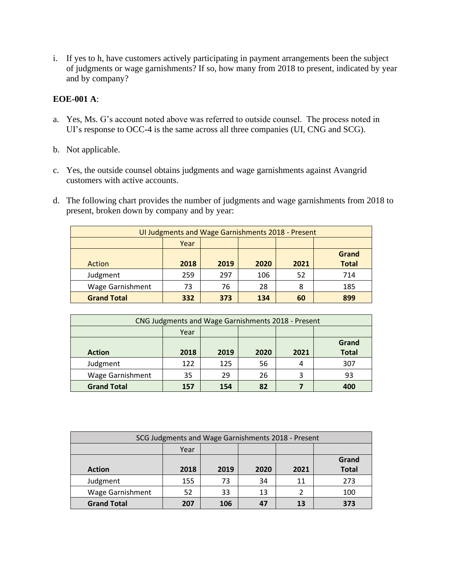i. If yes to h, have customers actively participating in payment arrangements been the subject of judgments or wage garnishments? If so, how many from 2018 to present, indicated by year and by company?

## **EOE-001 A**:

- a. Yes, Ms. G's account noted above was referred to outside counsel. The process noted in UI's response to OCC-4 is the same across all three companies (UI, CNG and SCG).
- b. Not applicable.
- c. Yes, the outside counsel obtains judgments and wage garnishments against Avangrid customers with active accounts.
- d. The following chart provides the number of judgments and wage garnishments from 2018 to present, broken down by company and by year:

| UI Judgments and Wage Garnishments 2018 - Present |      |      |      |      |              |  |  |
|---------------------------------------------------|------|------|------|------|--------------|--|--|
| Year                                              |      |      |      |      |              |  |  |
|                                                   |      |      |      |      | Grand        |  |  |
| Action                                            | 2018 | 2019 | 2020 | 2021 | <b>Total</b> |  |  |
| Judgment                                          | 259  | 297  | 106  | 52   | 714          |  |  |
| <b>Wage Garnishment</b>                           | 73   | 76   | 28   | 8    | 185          |  |  |
| <b>Grand Total</b>                                | 332  | 373  | 134  | 60   | 899          |  |  |

| CNG Judgments and Wage Garnishments 2018 - Present |      |      |      |      |              |  |
|----------------------------------------------------|------|------|------|------|--------------|--|
| Year                                               |      |      |      |      |              |  |
| Grand                                              |      |      |      |      |              |  |
| <b>Action</b>                                      | 2018 | 2019 | 2020 | 2021 | <b>Total</b> |  |
| Judgment                                           | 122  | 125  | 56   |      | 307          |  |
| <b>Wage Garnishment</b>                            | 35   | 29   | 26   | 3    | 93           |  |
| <b>Grand Total</b>                                 | 157  | 154  | 82   |      | 400          |  |

| SCG Judgments and Wage Garnishments 2018 - Present |      |      |      |      |              |  |
|----------------------------------------------------|------|------|------|------|--------------|--|
| Year                                               |      |      |      |      |              |  |
|                                                    |      |      |      |      |              |  |
| <b>Action</b>                                      | 2018 | 2019 | 2020 | 2021 | <b>Total</b> |  |
| Judgment                                           | 155  | 73   | 34   | 11   | 273          |  |
| <b>Wage Garnishment</b>                            | 52   | 33   | 13   |      | 100          |  |
| <b>Grand Total</b>                                 | 207  | 106  | 47   | 13   | 373          |  |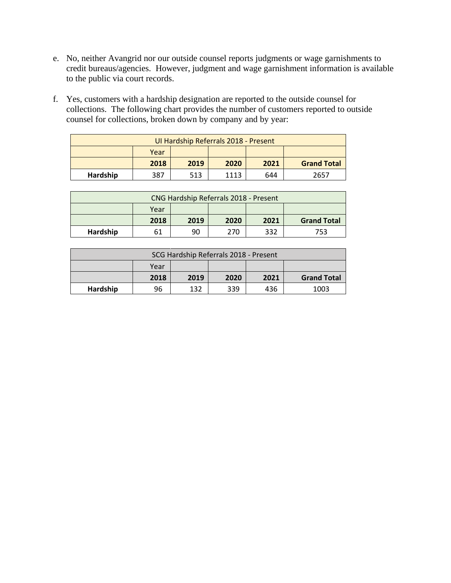- e. No, neither Avangrid nor our outside counsel reports judgments or wage garnishments to credit bureaus/agencies. However, judgment and wage garnishment information is available to the public via court records.
- f. Yes, customers with a hardship designation are reported to the outside counsel for collections. The following chart provides the number of customers reported to outside counsel for collections, broken down by company and by year:

| Ul Hardship Referrals 2018 - Present |      |      |      |      |                    |  |  |
|--------------------------------------|------|------|------|------|--------------------|--|--|
|                                      | Year |      |      |      |                    |  |  |
|                                      | 2018 | 2019 | 2020 | 2021 | <b>Grand Total</b> |  |  |
| Hardship                             | 387  | 513  | 1113 | 644  | 2657               |  |  |

| CNG Hardship Referrals 2018 - Present |      |      |      |      |                    |  |  |
|---------------------------------------|------|------|------|------|--------------------|--|--|
|                                       | Year |      |      |      |                    |  |  |
|                                       | 2018 | 2019 | 2020 | 2021 | <b>Grand Total</b> |  |  |
| Hardship                              |      | 90   | 270  | 332  | 753                |  |  |

| SCG Hardship Referrals 2018 - Present |      |      |      |      |                    |  |  |
|---------------------------------------|------|------|------|------|--------------------|--|--|
|                                       | Year |      |      |      |                    |  |  |
|                                       | 2018 | 2019 | 2020 | 2021 | <b>Grand Total</b> |  |  |
| Hardship                              | 96   | 132  | 339  | 436  | 1003               |  |  |